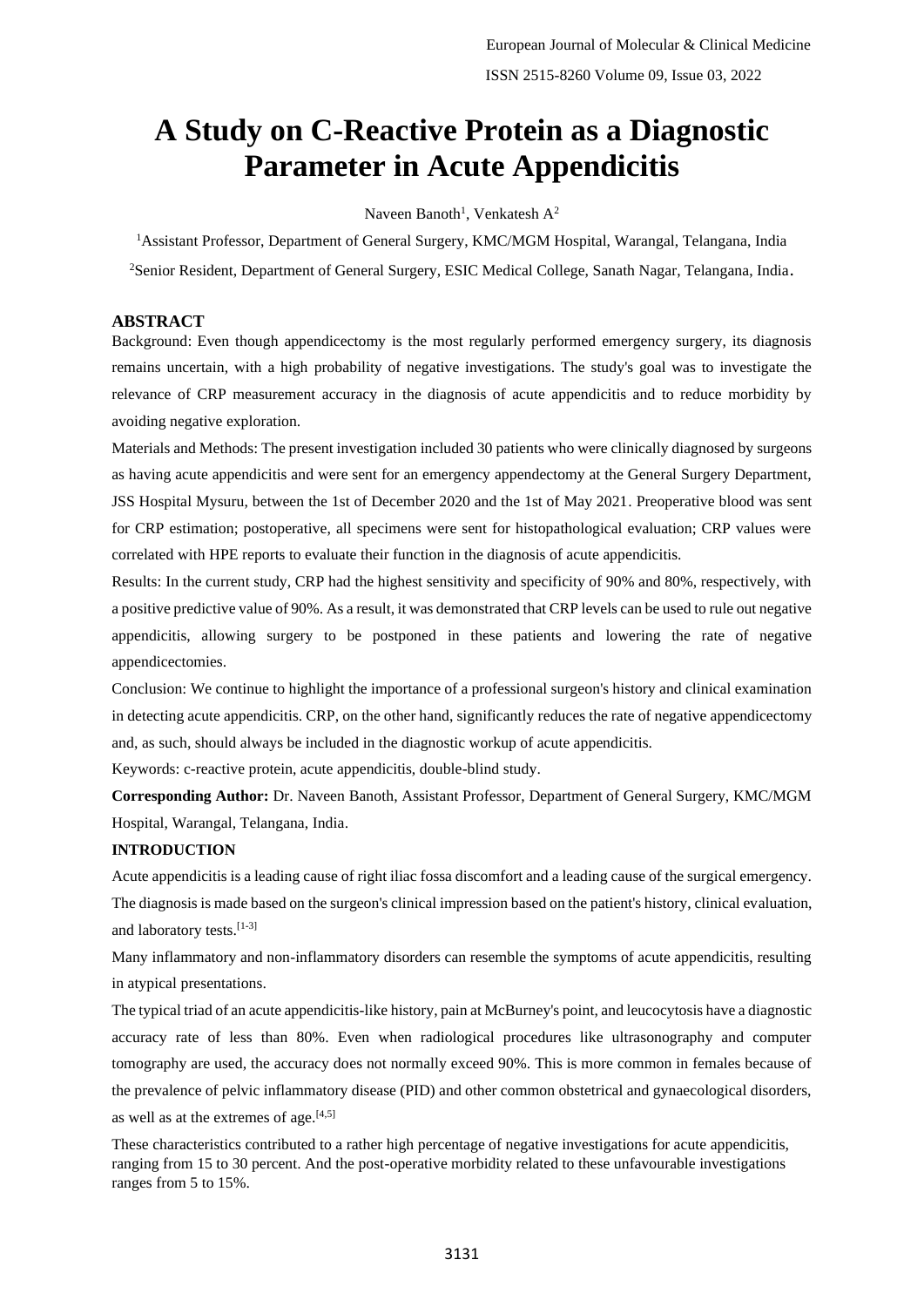# **A Study on C-Reactive Protein as a Diagnostic Parameter in Acute Appendicitis**

Naveen Banoth<sup>1</sup>, Venkatesh  $A^2$ 

<sup>1</sup>Assistant Professor, Department of General Surgery, KMC/MGM Hospital, Warangal, Telangana, India <sup>2</sup>Senior Resident, Department of General Surgery, ESIC Medical College, Sanath Nagar, Telangana, India.

## **ABSTRACT**

Background: Even though appendicectomy is the most regularly performed emergency surgery, its diagnosis remains uncertain, with a high probability of negative investigations. The study's goal was to investigate the relevance of CRP measurement accuracy in the diagnosis of acute appendicitis and to reduce morbidity by avoiding negative exploration.

Materials and Methods: The present investigation included 30 patients who were clinically diagnosed by surgeons as having acute appendicitis and were sent for an emergency appendectomy at the General Surgery Department, JSS Hospital Mysuru, between the 1st of December 2020 and the 1st of May 2021. Preoperative blood was sent for CRP estimation; postoperative, all specimens were sent for histopathological evaluation; CRP values were correlated with HPE reports to evaluate their function in the diagnosis of acute appendicitis.

Results: In the current study, CRP had the highest sensitivity and specificity of 90% and 80%, respectively, with a positive predictive value of 90%. As a result, it was demonstrated that CRP levels can be used to rule out negative appendicitis, allowing surgery to be postponed in these patients and lowering the rate of negative appendicectomies.

Conclusion: We continue to highlight the importance of a professional surgeon's history and clinical examination in detecting acute appendicitis. CRP, on the other hand, significantly reduces the rate of negative appendicectomy and, as such, should always be included in the diagnostic workup of acute appendicitis.

Keywords: c-reactive protein, acute appendicitis, double-blind study.

**Corresponding Author:** Dr. Naveen Banoth, Assistant Professor, Department of General Surgery, KMC/MGM Hospital, Warangal, Telangana, India.

#### **INTRODUCTION**

Acute appendicitis is a leading cause of right iliac fossa discomfort and a leading cause of the surgical emergency. The diagnosis is made based on the surgeon's clinical impression based on the patient's history, clinical evaluation, and laboratory tests.[1-3]

Many inflammatory and non-inflammatory disorders can resemble the symptoms of acute appendicitis, resulting in atypical presentations.

The typical triad of an acute appendicitis-like history, pain at McBurney's point, and leucocytosis have a diagnostic accuracy rate of less than 80%. Even when radiological procedures like ultrasonography and computer tomography are used, the accuracy does not normally exceed 90%. This is more common in females because of the prevalence of pelvic inflammatory disease (PID) and other common obstetrical and gynaecological disorders,

as well as at the extremes of age. $[4,5]$ 

These characteristics contributed to a rather high percentage of negative investigations for acute appendicitis, ranging from 15 to 30 percent. And the post-operative morbidity related to these unfavourable investigations ranges from 5 to 15%.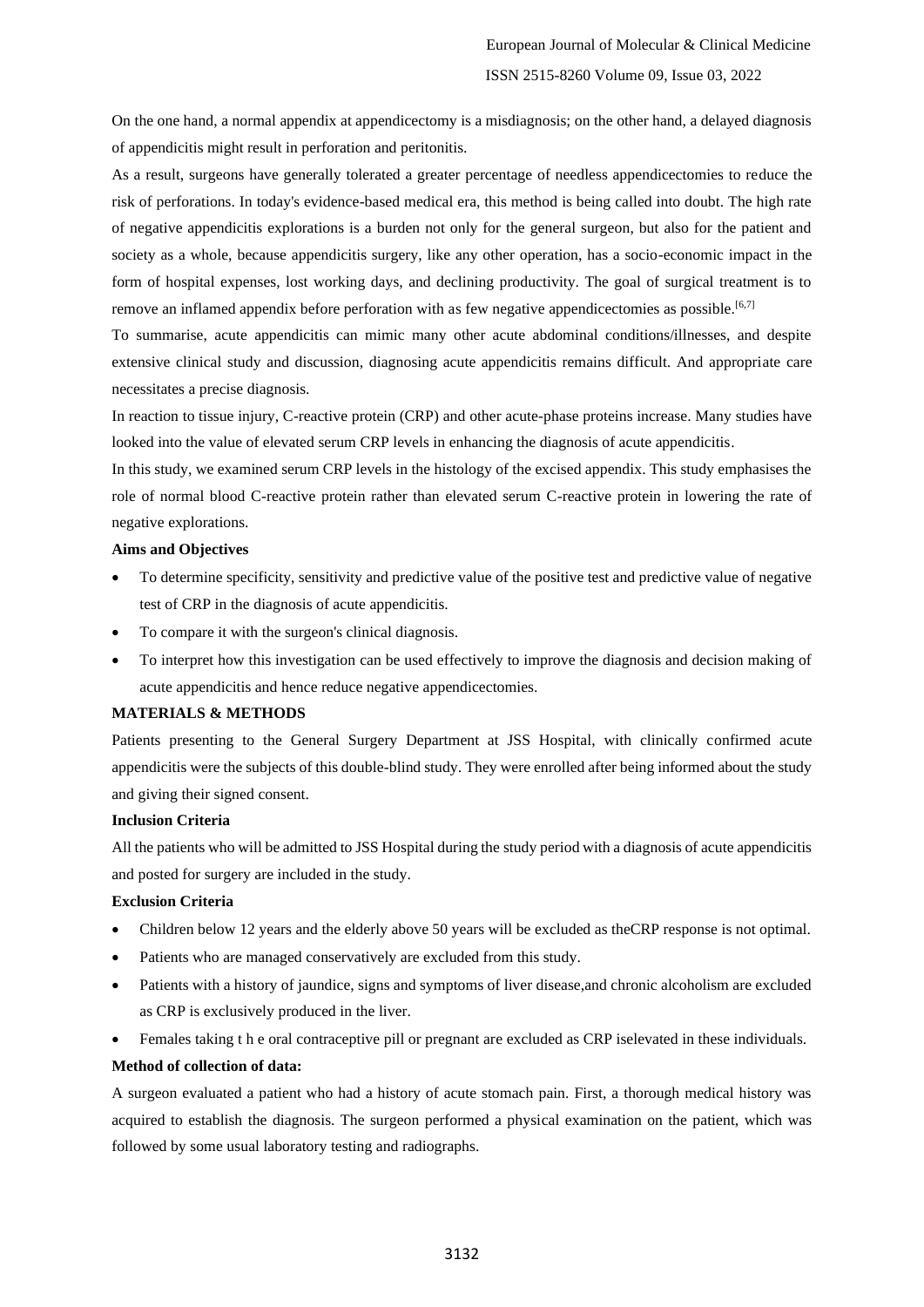On the one hand, a normal appendix at appendicectomy is a misdiagnosis; on the other hand, a delayed diagnosis of appendicitis might result in perforation and peritonitis.

As a result, surgeons have generally tolerated a greater percentage of needless appendicectomies to reduce the risk of perforations. In today's evidence-based medical era, this method is being called into doubt. The high rate of negative appendicitis explorations is a burden not only for the general surgeon, but also for the patient and society as a whole, because appendicitis surgery, like any other operation, has a socio-economic impact in the form of hospital expenses, lost working days, and declining productivity. The goal of surgical treatment is to remove an inflamed appendix before perforation with as few negative appendicectomies as possible.<sup>[6,7]</sup>

To summarise, acute appendicitis can mimic many other acute abdominal conditions/illnesses, and despite extensive clinical study and discussion, diagnosing acute appendicitis remains difficult. And appropriate care necessitates a precise diagnosis.

In reaction to tissue injury, C-reactive protein (CRP) and other acute-phase proteins increase. Many studies have looked into the value of elevated serum CRP levels in enhancing the diagnosis of acute appendicitis.

In this study, we examined serum CRP levels in the histology of the excised appendix. This study emphasises the role of normal blood C-reactive protein rather than elevated serum C-reactive protein in lowering the rate of negative explorations.

# **Aims and Objectives**

- To determine specificity, sensitivity and predictive value of the positive test and predictive value of negative test of CRP in the diagnosis of acute appendicitis.
- To compare it with the surgeon's clinical diagnosis.
- To interpret how this investigation can be used effectively to improve the diagnosis and decision making of acute appendicitis and hence reduce negative appendicectomies.

# **MATERIALS & METHODS**

Patients presenting to the General Surgery Department at JSS Hospital, with clinically confirmed acute appendicitis were the subjects of this double-blind study. They were enrolled after being informed about the study and giving their signed consent.

# **Inclusion Criteria**

All the patients who will be admitted to JSS Hospital during the study period with a diagnosis of acute appendicitis and posted for surgery are included in the study.

# **Exclusion Criteria**

- Children below 12 years and the elderly above 50 years will be excluded as theCRP response is not optimal.
- Patients who are managed conservatively are excluded from this study.
- Patients with a history of jaundice, signs and symptoms of liver disease,and chronic alcoholism are excluded as CRP is exclusively produced in the liver.
- Females taking t h e oral contraceptive pill or pregnant are excluded as CRP iselevated in these individuals.

#### **Method of collection of data:**

A surgeon evaluated a patient who had a history of acute stomach pain. First, a thorough medical history was acquired to establish the diagnosis. The surgeon performed a physical examination on the patient, which was followed by some usual laboratory testing and radiographs.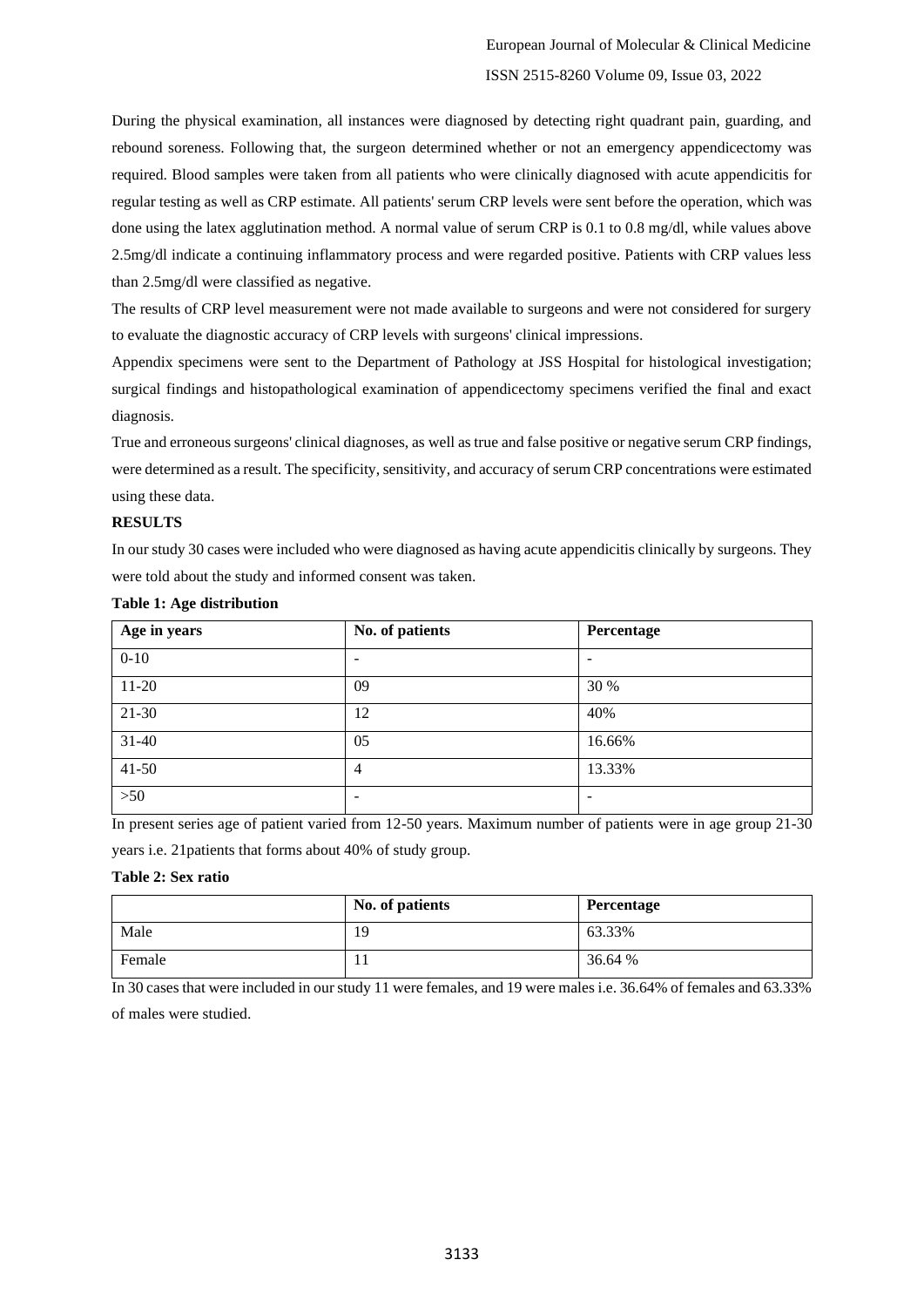During the physical examination, all instances were diagnosed by detecting right quadrant pain, guarding, and rebound soreness. Following that, the surgeon determined whether or not an emergency appendicectomy was required. Blood samples were taken from all patients who were clinically diagnosed with acute appendicitis for regular testing as well as CRP estimate. All patients' serum CRP levels were sent before the operation, which was done using the latex agglutination method. A normal value of serum CRP is 0.1 to 0.8 mg/dl, while values above 2.5mg/dl indicate a continuing inflammatory process and were regarded positive. Patients with CRP values less than 2.5mg/dl were classified as negative.

The results of CRP level measurement were not made available to surgeons and were not considered for surgery to evaluate the diagnostic accuracy of CRP levels with surgeons' clinical impressions.

Appendix specimens were sent to the Department of Pathology at JSS Hospital for histological investigation; surgical findings and histopathological examination of appendicectomy specimens verified the final and exact diagnosis.

True and erroneous surgeons' clinical diagnoses, as well as true and false positive or negative serum CRP findings, were determined as a result. The specificity, sensitivity, and accuracy of serum CRP concentrations were estimated using these data.

# **RESULTS**

In our study 30 cases were included who were diagnosed as having acute appendicitis clinically by surgeons. They were told about the study and informed consent was taken.

| Age in years | No. of patients | Percentage |
|--------------|-----------------|------------|
| $0 - 10$     | -               |            |
| $11 - 20$    | 09              | 30 %       |
| $21 - 30$    | 12              | 40%        |
| $31 - 40$    | 05              | 16.66%     |
| $41 - 50$    | 4               | 13.33%     |
| $>50$        |                 | -          |

# **Table 1: Age distribution**

In present series age of patient varied from 12-50 years. Maximum number of patients were in age group 21-30

years i.e. 21patients that forms about 40% of study group.

# **Table 2: Sex ratio**

|        | No. of patients | Percentage |
|--------|-----------------|------------|
| Male   | 19              | 63.33%     |
| Female | 1 J             | 36.64 %    |

In 30 cases that were included in our study 11 were females, and 19 were males i.e. 36.64% of females and 63.33% of males were studied.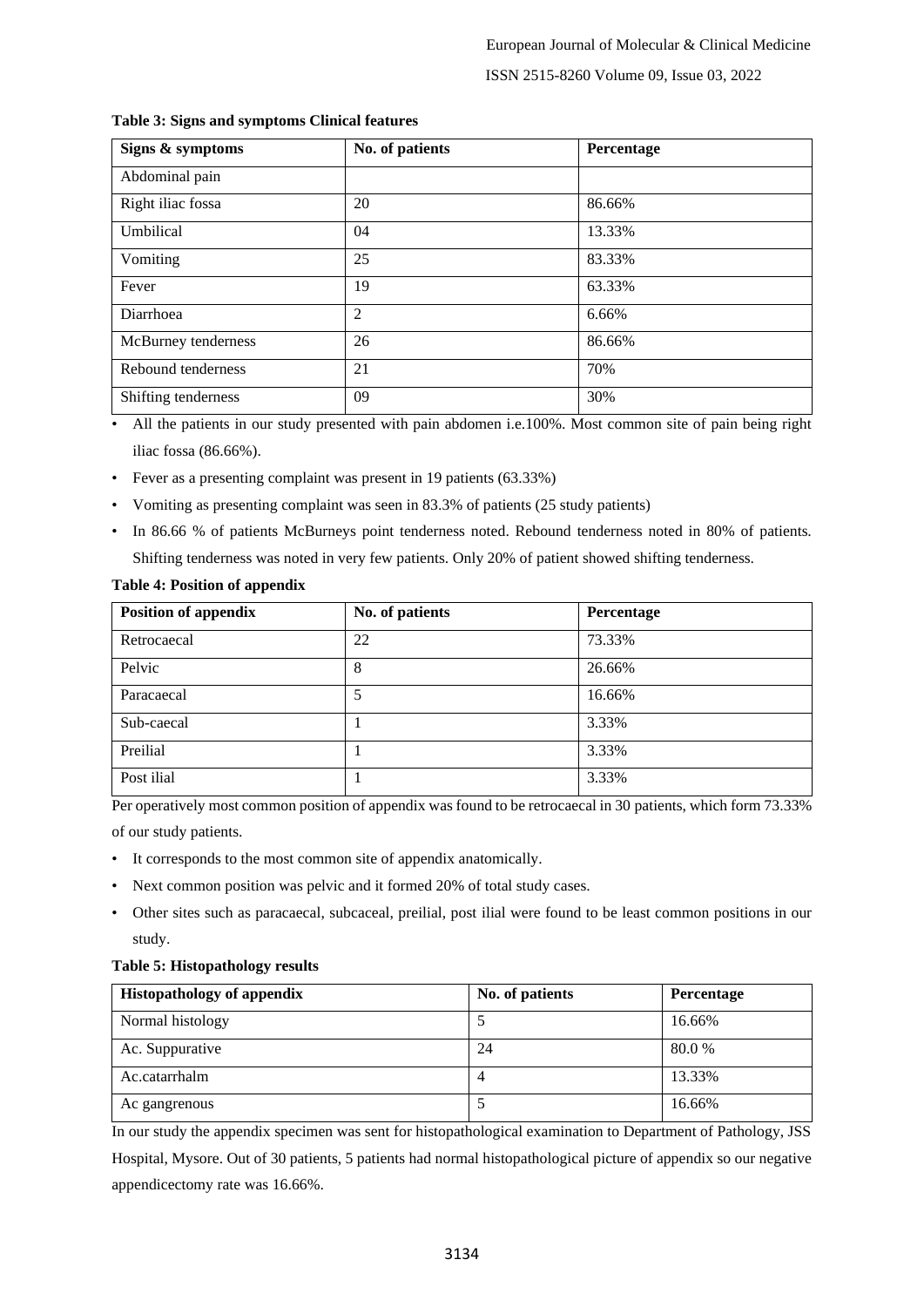# ISSN 2515-8260 Volume 09, Issue 03, 2022

| Signs & symptoms    | No. of patients | Percentage |
|---------------------|-----------------|------------|
| Abdominal pain      |                 |            |
| Right iliac fossa   | 20              | 86.66%     |
| Umbilical           | 04              | 13.33%     |
| Vomiting            | 25              | 83.33%     |
| Fever               | 19              | 63.33%     |
| Diarrhoea           | 2               | 6.66%      |
| McBurney tenderness | 26              | 86.66%     |
| Rebound tenderness  | 21              | 70%        |
| Shifting tenderness | 09              | 30%        |

## **Table 3: Signs and symptoms Clinical features**

• All the patients in our study presented with pain abdomen i.e.100%. Most common site of pain being right iliac fossa (86.66%).

- Fever as a presenting complaint was present in 19 patients (63.33%)
- Vomiting as presenting complaint was seen in 83.3% of patients (25 study patients)
- In 86.66 % of patients McBurneys point tenderness noted. Rebound tenderness noted in 80% of patients. Shifting tenderness was noted in very few patients. Only 20% of patient showed shifting tenderness.

# **Table 4: Position of appendix**

| <b>Position of appendix</b> | No. of patients | Percentage |
|-----------------------------|-----------------|------------|
| Retrocaecal                 | 22              | 73.33%     |
| Pelvic                      | 8               | 26.66%     |
| Paracaecal                  | 5               | 16.66%     |
| Sub-caecal                  |                 | 3.33%      |
| Preilial                    |                 | 3.33%      |
| Post ilial                  |                 | 3.33%      |

Per operatively most common position of appendix was found to be retrocaecal in 30 patients, which form 73.33% of our study patients.

- It corresponds to the most common site of appendix anatomically.
- Next common position was pelvic and it formed 20% of total study cases.
- Other sites such as paracaecal, subcaceal, preilial, post ilial were found to be least common positions in our study.

### **Table 5: Histopathology results**

| <b>Histopathology of appendix</b> | No. of patients | Percentage |
|-----------------------------------|-----------------|------------|
| Normal histology                  |                 | 16.66%     |
| Ac. Suppurative                   | 24              | 80.0%      |
| Ac.catarrhalm                     | 4               | 13.33%     |
| Ac gangrenous                     |                 | 16.66%     |

In our study the appendix specimen was sent for histopathological examination to Department of Pathology, JSS

Hospital, Mysore. Out of 30 patients, 5 patients had normal histopathological picture of appendix so our negative appendicectomy rate was 16.66%.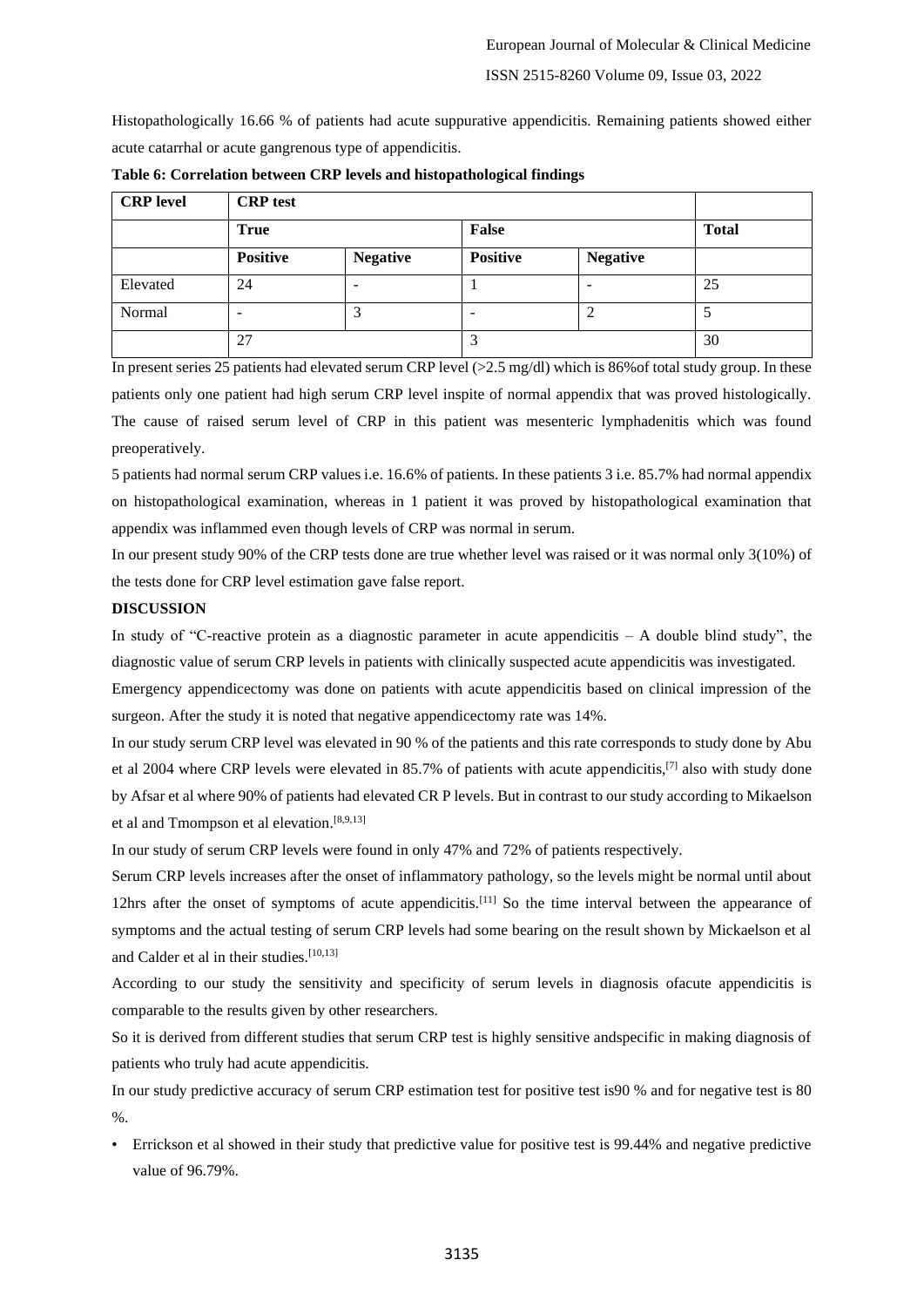Histopathologically 16.66 % of patients had acute suppurative appendicitis. Remaining patients showed either acute catarrhal or acute gangrenous type of appendicitis.

| <b>CRP</b> level | <b>CRP</b> test          |                 |                 |                 |              |
|------------------|--------------------------|-----------------|-----------------|-----------------|--------------|
|                  | <b>True</b>              |                 | False           |                 | <b>Total</b> |
|                  | <b>Positive</b>          | <b>Negative</b> | <b>Positive</b> | <b>Negative</b> |              |
| Elevated         | 24                       |                 |                 |                 | 25           |
| Normal           | $\overline{\phantom{0}}$ | 3               |                 |                 |              |
|                  | 27                       |                 | 2<br>J          |                 | 30           |

**Table 6: Correlation between CRP levels and histopathological findings**

In present series 25 patients had elevated serum CRP level (>2.5 mg/dl) which is 86% of total study group. In these patients only one patient had high serum CRP level inspite of normal appendix that was proved histologically. The cause of raised serum level of CRP in this patient was mesenteric lymphadenitis which was found preoperatively.

5 patients had normal serum CRP values i.e. 16.6% of patients. In these patients 3 i.e. 85.7% had normal appendix on histopathological examination, whereas in 1 patient it was proved by histopathological examination that appendix was inflammed even though levels of CRP was normal in serum.

In our present study 90% of the CRP tests done are true whether level was raised or it was normal only 3(10%) of the tests done for CRP level estimation gave false report.

# **DISCUSSION**

In study of "C-reactive protein as a diagnostic parameter in acute appendicitis  $- A$  double blind study", the diagnostic value of serum CRP levels in patients with clinically suspected acute appendicitis was investigated.

Emergency appendicectomy was done on patients with acute appendicitis based on clinical impression of the surgeon. After the study it is noted that negative appendicectomy rate was 14%.

In our study serum CRP level was elevated in 90 % of the patients and this rate corresponds to study done by Abu et al 2004 where CRP levels were elevated in 85.7% of patients with acute appendicitis,[7] also with study done by Afsar et al where 90% of patients had elevated CR P levels. But in contrast to our study according to Mikaelson et al and Tmompson et al elevation.<sup>[8,9,13]</sup>

In our study of serum CRP levels were found in only 47% and 72% of patients respectively.

Serum CRP levels increases after the onset of inflammatory pathology, so the levels might be normal until about 12hrs after the onset of symptoms of acute appendicitis.<sup>[11]</sup> So the time interval between the appearance of symptoms and the actual testing of serum CRP levels had some bearing on the result shown by Mickaelson et al and Calder et al in their studies.<sup>[10,13]</sup>

According to our study the sensitivity and specificity of serum levels in diagnosis ofacute appendicitis is comparable to the results given by other researchers.

So it is derived from different studies that serum CRP test is highly sensitive andspecific in making diagnosis of patients who truly had acute appendicitis.

In our study predictive accuracy of serum CRP estimation test for positive test is90 % and for negative test is 80  $\%$ .

• Errickson et al showed in their study that predictive value for positive test is 99.44% and negative predictive value of 96.79%.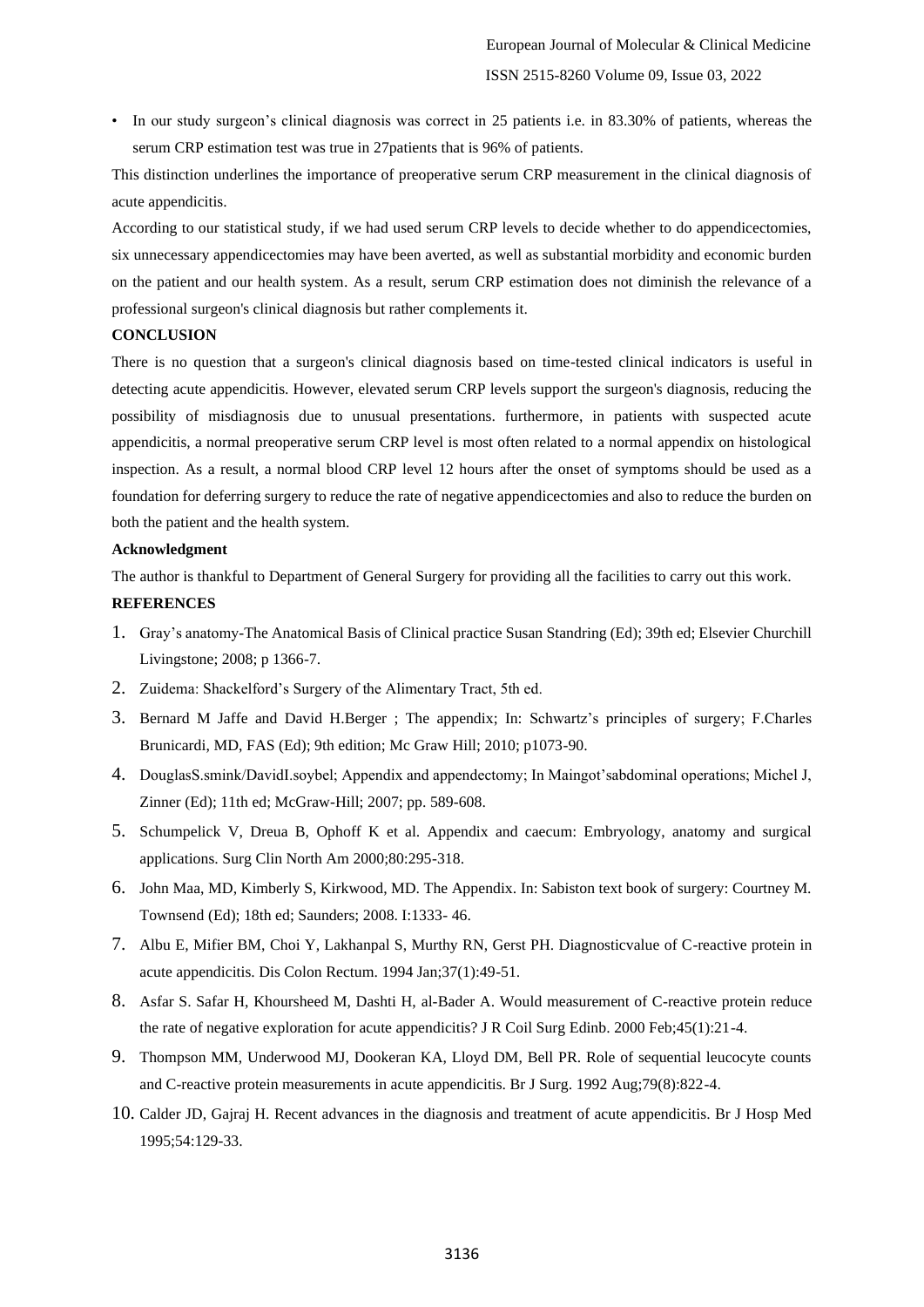• In our study surgeon's clinical diagnosis was correct in 25 patients i.e. in 83.30% of patients, whereas the serum CRP estimation test was true in 27patients that is 96% of patients.

This distinction underlines the importance of preoperative serum CRP measurement in the clinical diagnosis of acute appendicitis.

According to our statistical study, if we had used serum CRP levels to decide whether to do appendicectomies, six unnecessary appendicectomies may have been averted, as well as substantial morbidity and economic burden on the patient and our health system. As a result, serum CRP estimation does not diminish the relevance of a professional surgeon's clinical diagnosis but rather complements it.

### **CONCLUSION**

There is no question that a surgeon's clinical diagnosis based on time-tested clinical indicators is useful in detecting acute appendicitis. However, elevated serum CRP levels support the surgeon's diagnosis, reducing the possibility of misdiagnosis due to unusual presentations. furthermore, in patients with suspected acute appendicitis, a normal preoperative serum CRP level is most often related to a normal appendix on histological inspection. As a result, a normal blood CRP level 12 hours after the onset of symptoms should be used as a foundation for deferring surgery to reduce the rate of negative appendicectomies and also to reduce the burden on both the patient and the health system.

## **Acknowledgment**

The author is thankful to Department of General Surgery for providing all the facilities to carry out this work.

### **REFERENCES**

- 1. Gray's anatomy-The Anatomical Basis of Clinical practice Susan Standring (Ed); 39th ed; Elsevier Churchill Livingstone; 2008; p 1366-7.
- 2. Zuidema: Shackelford's Surgery of the Alimentary Tract, 5th ed.
- 3. Bernard M Jaffe and David H.Berger ; The appendix; In: Schwartz's principles of surgery; F.Charles Brunicardi, MD, FAS (Ed); 9th edition; Mc Graw Hill; 2010; p1073-90.
- 4. DouglasS.smink/DavidI.soybel; Appendix and appendectomy; In Maingot'sabdominal operations; Michel J, Zinner (Ed); 11th ed; McGraw-Hill; 2007; pp. 589-608.
- 5. Schumpelick V, Dreua B, Ophoff K et al. Appendix and caecum: Embryology, anatomy and surgical applications. Surg Clin North Am 2000;80:295-318.
- 6. John Maa, MD, Kimberly S, Kirkwood, MD. The Appendix. In: Sabiston text book of surgery: Courtney M. Townsend (Ed); 18th ed; Saunders; 2008. I:1333- 46.
- 7. Albu E, Mifier BM, Choi Y, Lakhanpal S, Murthy RN, Gerst PH. Diagnosticvalue of C-reactive protein in acute appendicitis. Dis Colon Rectum. 1994 Jan;37(1):49-51.
- 8. Asfar S. Safar H, Khoursheed M, Dashti H, al-Bader A. Would measurement of C-reactive protein reduce the rate of negative exploration for acute appendicitis? J R Coil Surg Edinb. 2000 Feb;45(1):21-4.
- 9. Thompson MM, Underwood MJ, Dookeran KA, Lloyd DM, Bell PR. Role of sequential leucocyte counts and C-reactive protein measurements in acute appendicitis. Br J Surg. 1992 Aug;79(8):822-4.
- 10. Calder JD, Gajraj H. Recent advances in the diagnosis and treatment of acute appendicitis. Br J Hosp Med 1995;54:129-33.